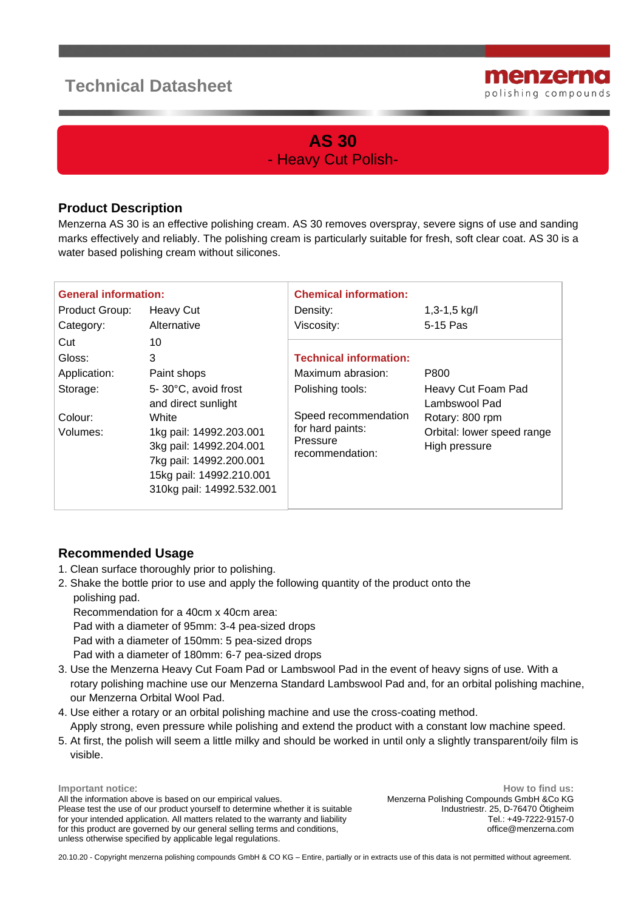## **Technical Datasheet**



## **AS 30** - Heavy Cut Polish-

## **Product Description**

Menzerna AS 30 is an effective polishing cream. AS 30 removes overspray, severe signs of use and sanding marks effectively and reliably. The polishing cream is particularly suitable for fresh, soft clear coat. AS 30 is a water based polishing cream without silicones.

| <b>General information:</b> |                                                                                                                                                 | <b>Chemical information:</b>                                            |                                                                |
|-----------------------------|-------------------------------------------------------------------------------------------------------------------------------------------------|-------------------------------------------------------------------------|----------------------------------------------------------------|
| Product Group:              | <b>Heavy Cut</b>                                                                                                                                | Density:                                                                | $1,3-1,5$ kg/l                                                 |
| Category:                   | Alternative                                                                                                                                     | Viscosity:                                                              | 5-15 Pas                                                       |
| Cut                         | 10                                                                                                                                              |                                                                         |                                                                |
| Gloss:                      | 3                                                                                                                                               | <b>Technical information:</b>                                           |                                                                |
| Application:                | Paint shops                                                                                                                                     | Maximum abrasion:                                                       | P800                                                           |
| Storage:                    | 5-30°C, avoid frost<br>and direct sunlight                                                                                                      | Polishing tools:                                                        | Heavy Cut Foam Pad<br>Lambswool Pad                            |
| Colour:<br>Volumes:         | White<br>1kg pail: 14992.203.001<br>3kg pail: 14992.204.001<br>7kg pail: 14992.200.001<br>15kg pail: 14992.210.001<br>310kg pail: 14992.532.001 | Speed recommendation<br>for hard paints:<br>Pressure<br>recommendation: | Rotary: 800 rpm<br>Orbital: lower speed range<br>High pressure |

## **Recommended Usage**

- 1. Clean surface thoroughly prior to polishing.
- 2. Shake the bottle prior to use and apply the following quantity of the product onto the polishing pad.

 Recommendation for a 40cm x 40cm area: Pad with a diameter of 95mm: 3-4 pea-sized drops Pad with a diameter of 150mm: 5 pea-sized drops Pad with a diameter of 180mm: 6-7 pea-sized drops

- 3. Use the Menzerna Heavy Cut Foam Pad or Lambswool Pad in the event of heavy signs of use. With a rotary polishing machine use our Menzerna Standard Lambswool Pad and, for an orbital polishing machine, our Menzerna Orbital Wool Pad.
- 4. Use either a rotary or an orbital polishing machine and use the cross-coating method. Apply strong, even pressure while polishing and extend the product with a constant low machine speed.
- 5. At first, the polish will seem a little milky and should be worked in until only a slightly transparent/oily film is visible.

**Important notice**: All the information above is based on our empirical values. Please test the use of our product yourself to determine whether it is suitable for your intended application. All matters related to the warranty and liability for this product are governed by our general selling terms and conditions, unless otherwise specified by applicable legal regulations.

**How to find us:** Menzerna Polishing Compounds GmbH &Co KG Industriestr. 25, D-76470 Ötigheim Tel.: +49-7222-9157-0 office@menzerna.com

20.10.20 - Copyright menzerna polishing compounds GmbH & CO KG – Entire, partially or in extracts use of this data is not permitted without agreement.